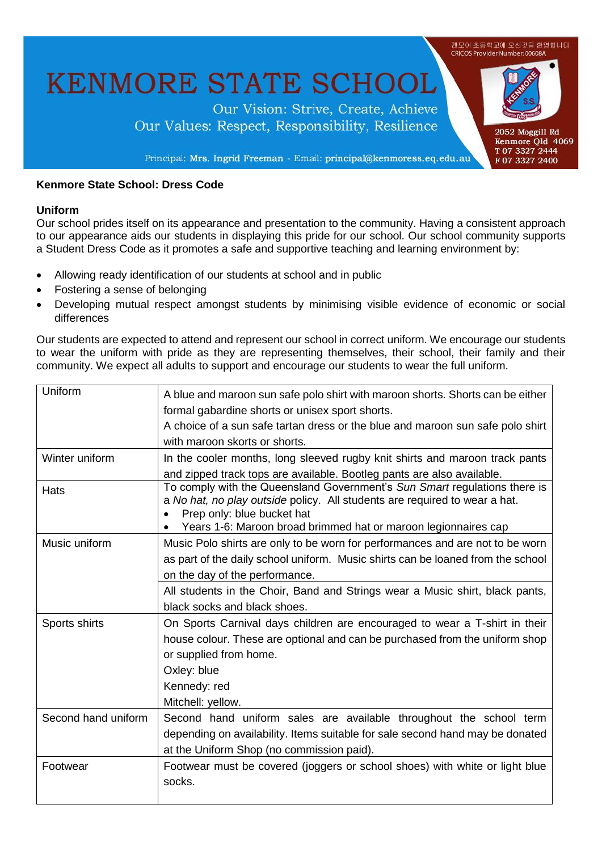

# **Kenmore State School: Dress Code**

#### **Uniform**

Our school prides itself on its appearance and presentation to the community. Having a consistent approach to our appearance aids our students in displaying this pride for our school. Our school community supports a Student Dress Code as it promotes a safe and supportive teaching and learning environment by:

- Allowing ready identification of our students at school and in public
- Fostering a sense of belonging
- Developing mutual respect amongst students by minimising visible evidence of economic or social differences

Our students are expected to attend and represent our school in correct uniform. We encourage our students to wear the uniform with pride as they are representing themselves, their school, their family and their community. We expect all adults to support and encourage our students to wear the full uniform.

| Uniform             | A blue and maroon sun safe polo shirt with maroon shorts. Shorts can be either                                                                                                        |
|---------------------|---------------------------------------------------------------------------------------------------------------------------------------------------------------------------------------|
|                     | formal gabardine shorts or unisex sport shorts.                                                                                                                                       |
|                     | A choice of a sun safe tartan dress or the blue and maroon sun safe polo shirt                                                                                                        |
|                     | with maroon skorts or shorts.                                                                                                                                                         |
| Winter uniform      | In the cooler months, long sleeved rugby knit shirts and maroon track pants                                                                                                           |
|                     | and zipped track tops are available. Bootleg pants are also available.                                                                                                                |
| Hats                | To comply with the Queensland Government's Sun Smart regulations there is<br>a No hat, no play outside policy. All students are required to wear a hat.<br>Prep only: blue bucket hat |
|                     | Years 1-6: Maroon broad brimmed hat or maroon legionnaires cap                                                                                                                        |
| Music uniform       | Music Polo shirts are only to be worn for performances and are not to be worn                                                                                                         |
|                     | as part of the daily school uniform. Music shirts can be loaned from the school                                                                                                       |
|                     | on the day of the performance.                                                                                                                                                        |
|                     | All students in the Choir, Band and Strings wear a Music shirt, black pants,                                                                                                          |
|                     | black socks and black shoes.                                                                                                                                                          |
| Sports shirts       | On Sports Carnival days children are encouraged to wear a T-shirt in their                                                                                                            |
|                     | house colour. These are optional and can be purchased from the uniform shop                                                                                                           |
|                     | or supplied from home.                                                                                                                                                                |
|                     | Oxley: blue                                                                                                                                                                           |
|                     | Kennedy: red                                                                                                                                                                          |
|                     | Mitchell: yellow.                                                                                                                                                                     |
| Second hand uniform | Second hand uniform sales are available throughout the school term                                                                                                                    |
|                     | depending on availability. Items suitable for sale second hand may be donated                                                                                                         |
|                     | at the Uniform Shop (no commission paid).                                                                                                                                             |
| Footwear            | Footwear must be covered (joggers or school shoes) with white or light blue                                                                                                           |
|                     | socks.                                                                                                                                                                                |
|                     |                                                                                                                                                                                       |